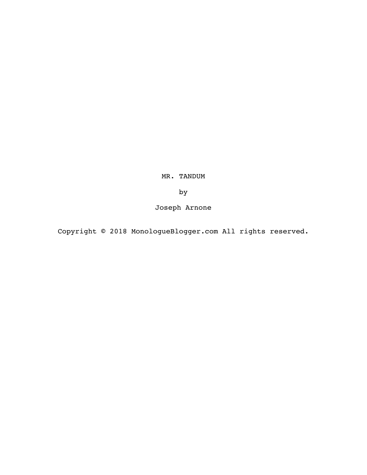MR. TANDUM

by

Joseph Arnone

Copyright © 2018 MonologueBlogger.com All rights reserved.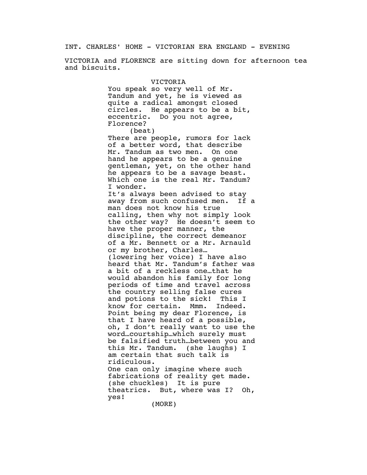INT. CHARLES' HOME - VICTORIAN ERA ENGLAND - EVENING

VICTORIA and FLORENCE are sitting down for afternoon tea and biscuits.

> VICTORIA You speak so very well of Mr. Tandum and yet, he is viewed as quite a radical amongst closed circles. He appears to be a bit, eccentric. Do you not agree, Florence?

(beat) There are people, rumors for lack of a better word, that describe Mr. Tandum as two men. On one hand he appears to be a genuine gentleman, yet, on the other hand he appears to be a savage beast. Which one is the real Mr. Tandum? I wonder.

It's always been advised to stay away from such confused men. If a man does not know his true calling, then why not simply look the other way? He doesn't seem to have the proper manner, the discipline, the correct demeanor of a Mr. Bennett or a Mr. Arnauld or my brother, Charles… (lowering her voice) I have also heard that Mr. Tandum's father was a bit of a reckless one…that he would abandon his family for long periods of time and travel across the country selling false cures and potions to the sick! This I know for certain. Mmm. Indeed. Point being my dear Florence, is that I have heard of a possible, oh, I don't really want to use the word…courtship…which surely must be falsified truth…between you and this Mr. Tandum. (she laughs) I am certain that such talk is ridiculous. One can only imagine where such fabrications of reality get made. (she chuckles) It is pure theatrics. But, where was I? Oh, yes!

(MORE)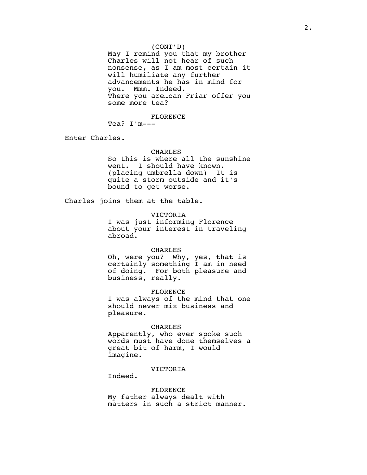May I remind you that my brother Charles will not hear of such nonsense, as I am most certain it will humiliate any further advancements he has in mind for you. Mmm. Indeed. There you are…can Friar offer you some more tea?

FLORENCE

Tea? I'm---

Enter Charles.

# CHARLES

So this is where all the sunshine went. I should have known. (placing umbrella down) It is quite a storm outside and it's bound to get worse.

Charles joins them at the table.

VICTORIA

I was just informing Florence about your interest in traveling abroad.

### CHARLES

Oh, were you? Why, yes, that is certainly something I am in need of doing. For both pleasure and business, really.

FLORENCE

I was always of the mind that one should never mix business and pleasure.

#### CHARLES

Apparently, who ever spoke such words must have done themselves a great bit of harm, I would imagine.

### VICTORIA

Indeed.

FLORENCE My father always dealt with matters in such a strict manner.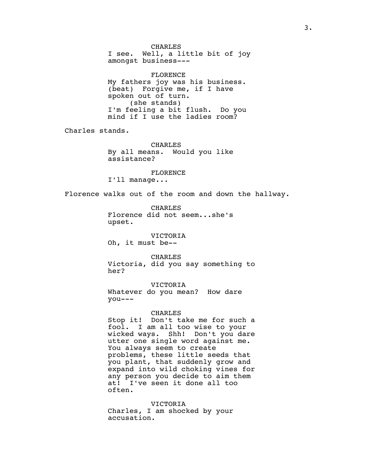CHARLES I see. Well, a little bit of joy amongst business---

FLORENCE My fathers joy was his business. (beat) Forgive me, if I have spoken out of turn. (she stands) I'm feeling a bit flush. Do you mind if I use the ladies room?

Charles stands.

CHARLES By all means. Would you like assistance?

FLORENCE

I'll manage...

Florence walks out of the room and down the hallway.

CHARLES Florence did not seem...she's upset.

VICTORIA Oh, it must be--

CHARLES Victoria, did you say something to her?

VICTORIA

Whatever do you mean? How dare you---

## CHARLES

Stop it! Don't take me for such a fool. I am all too wise to your wicked ways. Shh! Don't you dare utter one single word against me. You always seem to create problems, these little seeds that you plant, that suddenly grow and expand into wild choking vines for any person you decide to aim them at! I've seen it done all too often.

VICTORIA Charles, I am shocked by your accusation.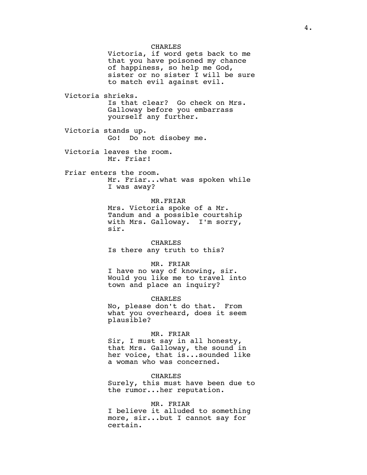CHARLES Victoria, if word gets back to me that you have poisoned my chance of happiness, so help me God, sister or no sister I will be sure to match evil against evil. Victoria shrieks. Is that clear? Go check on Mrs. Galloway before you embarrass yourself any further. Victoria stands up. Go! Do not disobey me. Victoria leaves the room. Mr. Friar! Friar enters the room. Mr. Friar...what was spoken while I was away? MR.FRIAR Mrs. Victoria spoke of a Mr. Tandum and a possible courtship with Mrs. Galloway. I'm sorry, sir. CHARLES Is there any truth to this? MR. FRIAR I have no way of knowing, sir. Would you like me to travel into town and place an inquiry? CHARLES No, please don't do that. From what you overheard, does it seem plausible? MR. FRIAR Sir, I must say in all honesty, that Mrs. Galloway, the sound in her voice, that is...sounded like a woman who was concerned. CHARLES Surely, this must have been due to the rumor...her reputation. MR. FRIAR I believe it alluded to something more, sir...but I cannot say for

certain.

4.